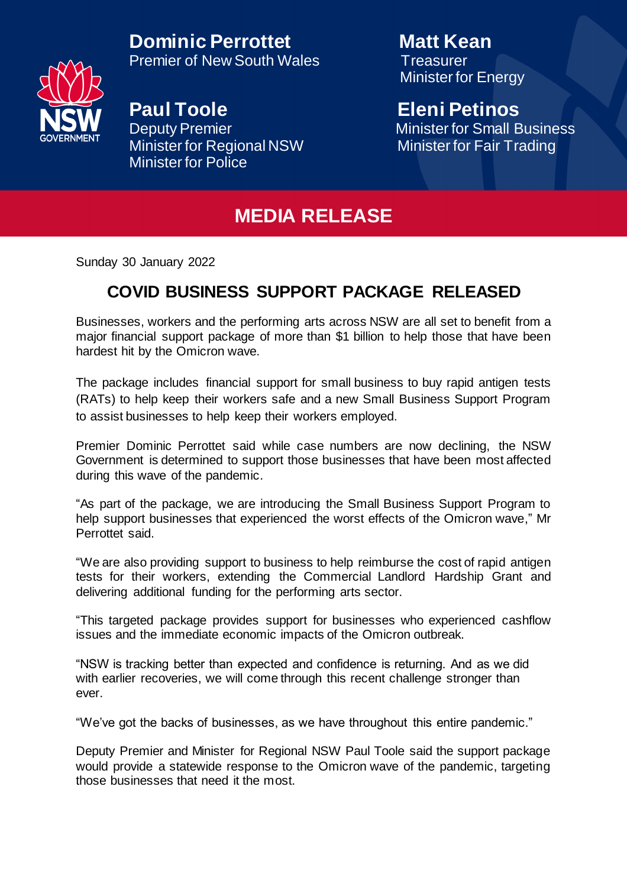



**Paul Toole**<br> **Eleni Petinos**<br> **Deputy Premier**<br> **Eleni Petinos**<br> **Minister for Small B** Minister for Regional NSW Minister for Fair Trading Minister for Police

Minister for Energy

**Minister for Small Business** 

# **MEDIA RELEASE**

Sunday 30 January 2022

## **COVID BUSINESS SUPPORT PACKAGE RELEASED**

Businesses, workers and the performing arts across NSW are all set to benefit from a major financial support package of more than \$1 billion to help those that have been hardest hit by the Omicron wave.

The package includes financial support for small business to buy rapid antigen tests (RATs) to help keep their workers safe and a new Small Business Support Program to assist businesses to help keep their workers employed.

Premier Dominic Perrottet said while case numbers are now declining, the NSW Government is determined to support those businesses that have been most affected during this wave of the pandemic.

"As part of the package, we are introducing the Small Business Support Program to help support businesses that experienced the worst effects of the Omicron wave," Mr Perrottet said.

"We are also providing support to business to help reimburse the cost of rapid antigen tests for their workers, extending the Commercial Landlord Hardship Grant and delivering additional funding for the performing arts sector.

"This targeted package provides support for businesses who experienced cashflow issues and the immediate economic impacts of the Omicron outbreak.

"NSW is tracking better than expected and confidence is returning. And as we did with earlier recoveries, we will come through this recent challenge stronger than ever.

"We've got the backs of businesses, as we have throughout this entire pandemic."

Deputy Premier and Minister for Regional NSW Paul Toole said the support package would provide a statewide response to the Omicron wave of the pandemic, targeting those businesses that need it the most.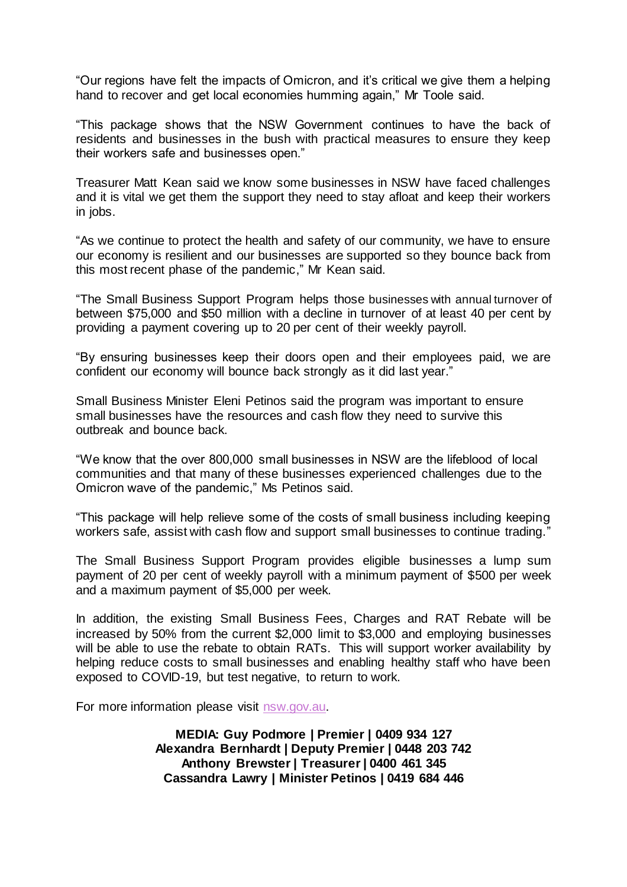"Our regions have felt the impacts of Omicron, and it's critical we give them a helping hand to recover and get local economies humming again," Mr Toole said.

"This package shows that the NSW Government continues to have the back of residents and businesses in the bush with practical measures to ensure they keep their workers safe and businesses open."

Treasurer Matt Kean said we know some businesses in NSW have faced challenges and it is vital we get them the support they need to stay afloat and keep their workers in jobs.

"As we continue to protect the health and safety of our community, we have to ensure our economy is resilient and our businesses are supported so they bounce back from this most recent phase of the pandemic," Mr Kean said.

"The Small Business Support Program helps those [businesses with annual turnover](https://www.ato.gov.au/business/small-business-entity-concessions/eligibility/aggregation/) of between \$75,000 and \$50 million with a decline in turnover of at least 40 per cent by providing a payment covering up to 20 per cent of their weekly payroll.

"By ensuring businesses keep their doors open and their employees paid, we are confident our economy will bounce back strongly as it did last year."

Small Business Minister Eleni Petinos said the program was important to ensure small businesses have the resources and cash flow they need to survive this outbreak and bounce back.

"We know that the over 800,000 small businesses in NSW are the lifeblood of local communities and that many of these businesses experienced challenges due to the Omicron wave of the pandemic," Ms Petinos said.

"This package will help relieve some of the costs of small business including keeping workers safe, assist with cash flow and support small businesses to continue trading."

The Small Business Support Program provides eligible businesses a lump sum payment of 20 per cent of weekly payroll with a minimum payment of \$500 per week and a maximum payment of \$5,000 per week.

In addition, the existing Small Business Fees, Charges and RAT Rebate will be increased by 50% from the current \$2,000 limit to \$3,000 and employing businesses will be able to use the rebate to obtain RATs. This will support worker availability by helping reduce costs to small businesses and enabling healthy staff who have been exposed to COVID-19, but test negative, to return to work.

For more information please visit [nsw.gov.au.](https://www.nsw.gov.au/)

**MEDIA: Guy Podmore | Premier | 0409 934 127 Alexandra Bernhardt | Deputy Premier | 0448 203 742 Anthony Brewster | Treasurer | 0400 461 345 Cassandra Lawry | Minister Petinos | 0419 684 446**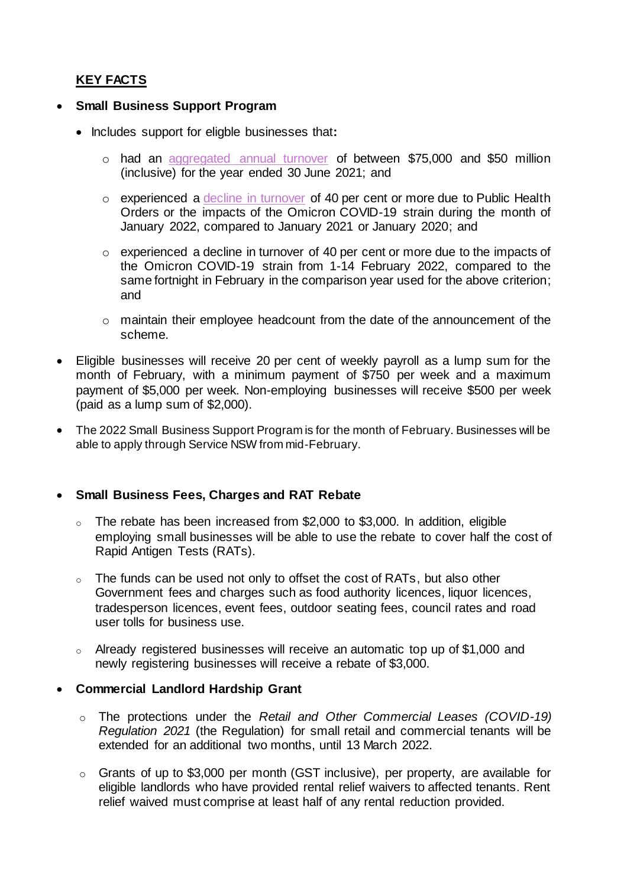### **KEY FACTS**

#### **Small Business Support Program**

- Includes support for eligble businesses that**:**
	- o had an [aggregated annual turnover](https://www.ato.gov.au/business/small-business-entity-concessions/eligibility/aggregation/) of between \$75,000 and \$50 million (inclusive) for the year ended 30 June 2021; and
	- o experienced a decline in turnover of 40 per cent or more due to Public Health Orders or the impacts of the Omicron COVID-19 strain during the month of January 2022, compared to January 2021 or January 2020; and
	- o experienced a decline in turnover of 40 per cent or more due to the impacts of the Omicron COVID-19 strain from 1-14 February 2022, compared to the same fortnight in February in the comparison year used for the above criterion; and
	- o maintain their employee headcount from the date of the announcement of the scheme.
- Eligible businesses will receive 20 per cent of weekly payroll as a lump sum for the month of February, with a minimum payment of \$750 per week and a maximum payment of \$5,000 per week. Non-employing businesses will receive \$500 per week (paid as a lump sum of \$2,000).
- The 2022 Small Business Support Program is for the month of February. Businesses will be able to apply through Service NSW from mid-February.

#### **Small Business Fees, Charges and RAT Rebate**

- o The rebate has been increased from \$2,000 to \$3,000. In addition, eligible employing small businesses will be able to use the rebate to cover half the cost of Rapid Antigen Tests (RATs).
- o The funds can be used not only to offset the cost of RATs, but also other Government fees and charges such as food authority licences, liquor licences, tradesperson licences, event fees, outdoor seating fees, council rates and road user tolls for business use.
- o Already registered businesses will receive an automatic top up of \$1,000 and newly registering businesses will receive a rebate of \$3,000.

#### **Commercial Landlord Hardship Grant**

- o The protections under the *Retail and Other Commercial Leases (COVID-19) Regulation 2021* (the Regulation) for small retail and commercial tenants will be extended for an additional two months, until 13 March 2022.
- o Grants of up to \$3,000 per month (GST inclusive), per property, are available for eligible landlords who have provided rental relief waivers to affected tenants. Rent relief waived must comprise at least half of any rental reduction provided.